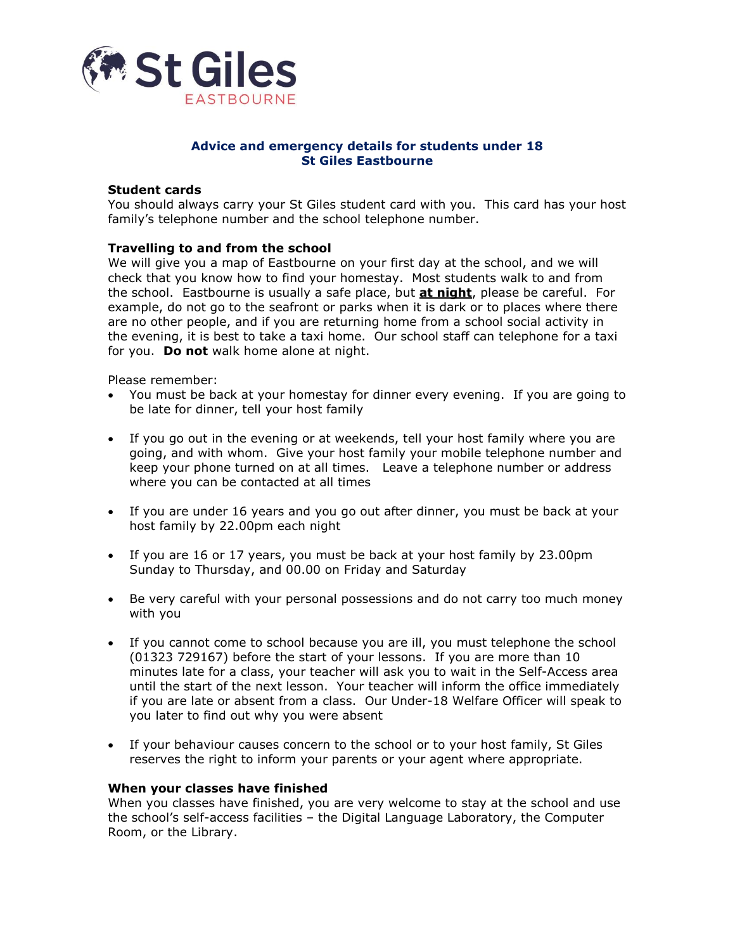

#### **Advice and emergency details for students under 18 St Giles Eastbourne**

#### **Student cards**

You should always carry your St Giles student card with you. This card has your host family's telephone number and the school telephone number.

#### **Travelling to and from the school**

We will give you a map of Eastbourne on your first day at the school, and we will check that you know how to find your homestay. Most students walk to and from the school. Eastbourne is usually a safe place, but **at night**, please be careful. For example, do not go to the seafront or parks when it is dark or to places where there are no other people, and if you are returning home from a school social activity in the evening, it is best to take a taxi home. Our school staff can telephone for a taxi for you. **Do not** walk home alone at night.

Please remember:

- You must be back at your homestay for dinner every evening. If you are going to be late for dinner, tell your host family
- If you go out in the evening or at weekends, tell your host family where you are going, and with whom. Give your host family your mobile telephone number and keep your phone turned on at all times. Leave a telephone number or address where you can be contacted at all times
- If you are under 16 years and you go out after dinner, you must be back at your host family by 22.00pm each night
- If you are 16 or 17 years, you must be back at your host family by 23.00pm Sunday to Thursday, and 00.00 on Friday and Saturday
- Be very careful with your personal possessions and do not carry too much money with you
- If you cannot come to school because you are ill, you must telephone the school (01323 729167) before the start of your lessons. If you are more than 10 minutes late for a class, your teacher will ask you to wait in the Self-Access area until the start of the next lesson. Your teacher will inform the office immediately if you are late or absent from a class. Our Under-18 Welfare Officer will speak to you later to find out why you were absent
- If your behaviour causes concern to the school or to your host family, St Giles reserves the right to inform your parents or your agent where appropriate.

#### **When your classes have finished**

When you classes have finished, you are very welcome to stay at the school and use the school's self-access facilities – the Digital Language Laboratory, the Computer Room, or the Library.